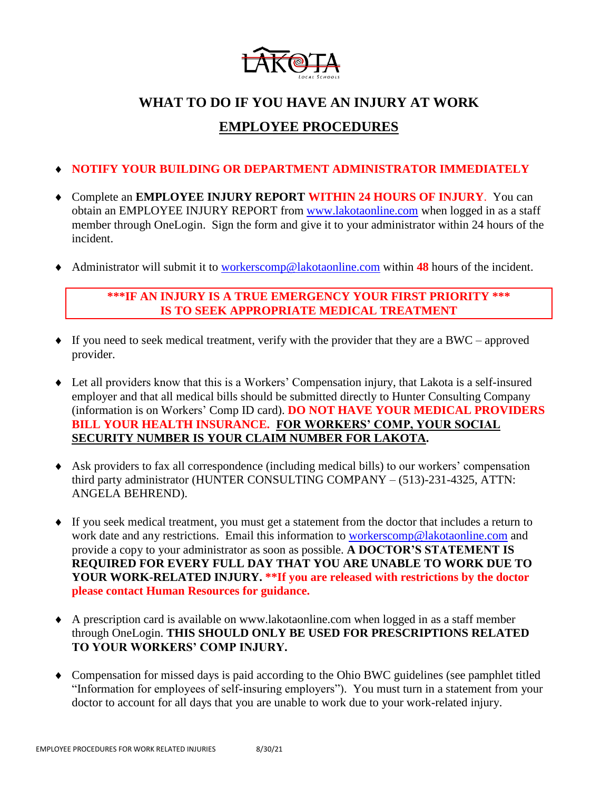

# **WHAT TO DO IF YOU HAVE AN INJURY AT WORK EMPLOYEE PROCEDURES**

# **NOTIFY YOUR BUILDING OR DEPARTMENT ADMINISTRATOR IMMEDIATELY**

- Complete an **EMPLOYEE INJURY REPORT WITHIN 24 HOURS OF INJURY**. You can obtain an EMPLOYEE INJURY REPORT from [www.lakotaonline.com](http://www.lakotaonline.com/) when logged in as a staff member through OneLogin. Sign the form and give it to your administrator within 24 hours of the incident.
- Administrator will submit it to [workerscomp@lakotaonline.com](mailto:workerscomp@lakotaonline.com) within **48** hours of the incident.

### **\*\*\*IF AN INJURY IS A TRUE EMERGENCY YOUR FIRST PRIORITY \*\*\* IS TO SEEK APPROPRIATE MEDICAL TREATMENT**

- $\bullet$  If you need to seek medical treatment, verify with the provider that they are a BWC approved provider.
- Let all providers know that this is a Workers' Compensation injury, that Lakota is a self-insured employer and that all medical bills should be submitted directly to Hunter Consulting Company (information is on Workers' Comp ID card). **DO NOT HAVE YOUR MEDICAL PROVIDERS BILL YOUR HEALTH INSURANCE. FOR WORKERS' COMP, YOUR SOCIAL SECURITY NUMBER IS YOUR CLAIM NUMBER FOR LAKOTA.**
- Ask providers to fax all correspondence (including medical bills) to our workers' compensation third party administrator (HUNTER CONSULTING COMPANY – (513)-231-4325, ATTN: ANGELA BEHREND).
- If you seek medical treatment, you must get a statement from the doctor that includes a return to work date and any restrictions. Email this information to [workerscomp@lakotaonline.com](mailto:workerscomp@lakotaonline.com) and provide a copy to your administrator as soon as possible. **A DOCTOR'S STATEMENT IS REQUIRED FOR EVERY FULL DAY THAT YOU ARE UNABLE TO WORK DUE TO YOUR WORK-RELATED INJURY. \*\*If you are released with restrictions by the doctor please contact Human Resources for guidance.**
- A prescription card is available on www.lakotaonline.com when logged in as a staff member through OneLogin. **THIS SHOULD ONLY BE USED FOR PRESCRIPTIONS RELATED TO YOUR WORKERS' COMP INJURY.**
- Compensation for missed days is paid according to the Ohio BWC guidelines (see pamphlet titled "Information for employees of self-insuring employers"). You must turn in a statement from your doctor to account for all days that you are unable to work due to your work-related injury.